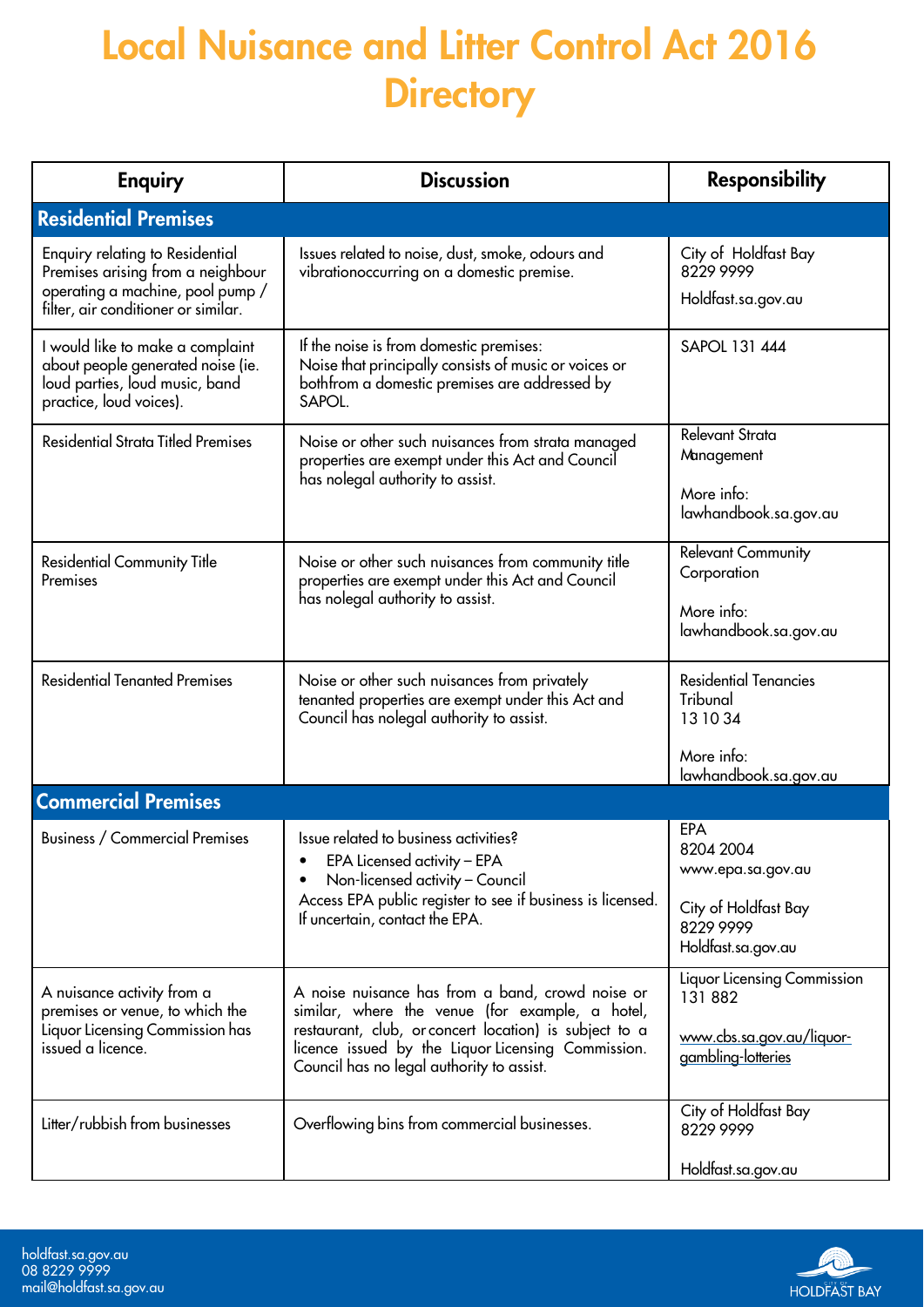## Local Nuisance and Litter Control Act 2016 **Directory**

| <b>Enquiry</b>                                                                                                                                         | <b>Discussion</b>                                                                                                                                                                                                                                                | <b>Responsibility</b>                                   |
|--------------------------------------------------------------------------------------------------------------------------------------------------------|------------------------------------------------------------------------------------------------------------------------------------------------------------------------------------------------------------------------------------------------------------------|---------------------------------------------------------|
| <b>Residential Premises</b>                                                                                                                            |                                                                                                                                                                                                                                                                  |                                                         |
| <b>Enquiry relating to Residential</b><br>Premises arising from a neighbour<br>operating a machine, pool pump /<br>filter, air conditioner or similar. | Issues related to noise, dust, smoke, odours and<br>vibrationoccurring on a domestic premise.                                                                                                                                                                    | City of Holdfast Bay<br>8229 9999<br>Holdfast.sa.gov.au |
| I would like to make a complaint<br>about people generated noise (ie.<br>loud parties, loud music, band<br>practice, loud voices).                     | If the noise is from domestic premises:<br>Noise that principally consists of music or voices or<br>bothfrom a domestic premises are addressed by<br>SAPOL.                                                                                                      | SAPOL 131 444                                           |
| <b>Residential Strata Titled Premises</b>                                                                                                              | Noise or other such nuisances from strata managed<br>properties are exempt under this Act and Council<br>has nolegal authority to assist.                                                                                                                        | Relevant Strata<br>Management                           |
|                                                                                                                                                        |                                                                                                                                                                                                                                                                  | More info:<br>lawhandbook.sa.gov.au                     |
| <b>Residential Community Title</b><br>Premises                                                                                                         | Noise or other such nuisances from community title<br>properties are exempt under this Act and Council<br>has nolegal authority to assist.                                                                                                                       | <b>Relevant Community</b><br>Corporation                |
|                                                                                                                                                        |                                                                                                                                                                                                                                                                  | More info:<br>lawhandbook.sa.gov.au                     |
| <b>Residential Tenanted Premises</b>                                                                                                                   | Noise or other such nuisances from privately<br>tenanted properties are exempt under this Act and<br>Council has nolegal authority to assist.                                                                                                                    | <b>Residential Tenancies</b><br>Tribunal<br>13 10 34    |
|                                                                                                                                                        |                                                                                                                                                                                                                                                                  | More info:<br>lawhandbook.sa.gov.au                     |
| <b>Commercial Premises</b>                                                                                                                             |                                                                                                                                                                                                                                                                  |                                                         |
| <b>Business / Commercial Premises</b>                                                                                                                  | Issue related to business activities?<br>EPA Licensed activity – EPA<br>Non-licensed activity - Council<br>Access EPA public register to see if business is licensed.<br>If uncertain, contact the EPA.                                                          | EPA<br>8204 2004<br>www.epa.sa.gov.au                   |
|                                                                                                                                                        |                                                                                                                                                                                                                                                                  | City of Holdfast Bay<br>8229 9999<br>Holdfast.sa.gov.au |
| A nuisance activity from a<br>premises or venue, to which the<br>Liquor Licensing Commission has<br>issued a licence.                                  | A noise nuisance has from a band, crowd noise or<br>similar, where the venue (for example, a hotel,<br>restaurant, club, or concert location) is subject to a<br>licence issued by the Liquor Licensing Commission.<br>Council has no legal authority to assist. | Liquor Licensing Commission<br>131 882                  |
|                                                                                                                                                        |                                                                                                                                                                                                                                                                  | www.cbs.sa.gov.au/liquor-<br>gambling-lotteries         |
| Litter/rubbish from businesses                                                                                                                         | Overflowing bins from commercial businesses.                                                                                                                                                                                                                     | City of Holdfast Bay<br>8229 9999                       |
|                                                                                                                                                        |                                                                                                                                                                                                                                                                  | Holdfast.sa.gov.au                                      |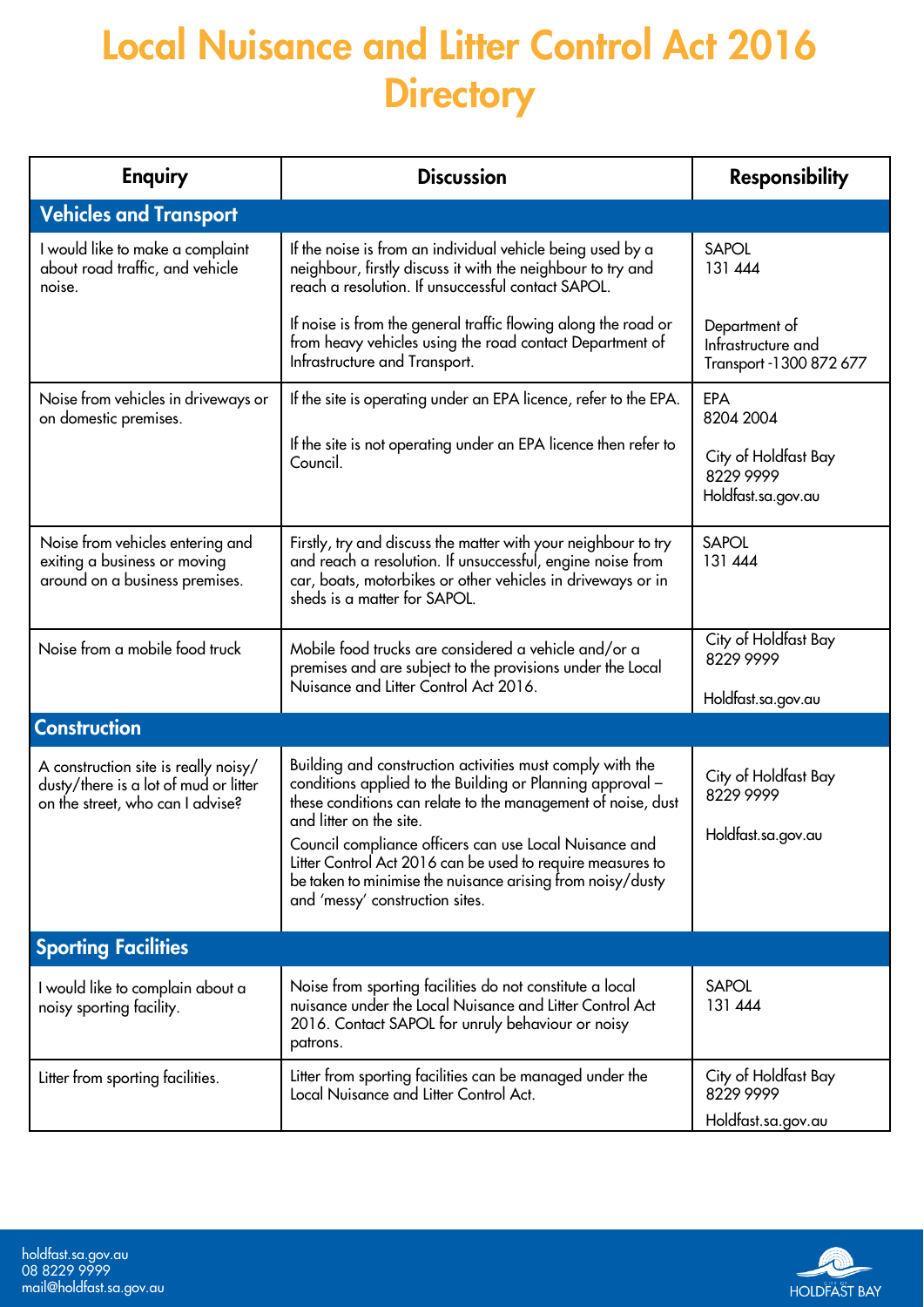## Local Nuisance and Litter Control Act 2016 **Directory**

| <b>Enquiry</b>                                                                                                    | <b>Discussion</b>                                                                                                                                                                                                                                                                                                                                                                                                                          | <b>Responsibility</b>                                           |
|-------------------------------------------------------------------------------------------------------------------|--------------------------------------------------------------------------------------------------------------------------------------------------------------------------------------------------------------------------------------------------------------------------------------------------------------------------------------------------------------------------------------------------------------------------------------------|-----------------------------------------------------------------|
| <b>Vehicles and Transport</b>                                                                                     |                                                                                                                                                                                                                                                                                                                                                                                                                                            |                                                                 |
| I would like to make a complaint<br>about road traffic, and vehicle<br>noise.                                     | If the noise is from an individual vehicle being used by a<br>neighbour, firstly discuss it with the neighbour to try and<br>reach a resolution. If unsuccessful contact SAPOL.                                                                                                                                                                                                                                                            | <b>SAPOL</b><br>131 444                                         |
|                                                                                                                   | If noise is from the general traffic flowing along the road or<br>from heavy vehicles using the road contact Department of<br>Infrastructure and Transport.                                                                                                                                                                                                                                                                                | Department of<br>Infrastructure and<br>Transport - 1300 872 677 |
| Noise from vehicles in driveways or<br>on domestic premises.                                                      | If the site is operating under an EPA licence, refer to the EPA.                                                                                                                                                                                                                                                                                                                                                                           | <b>EPA</b><br>8204 2004                                         |
|                                                                                                                   | If the site is not operating under an EPA licence then refer to<br>Council.                                                                                                                                                                                                                                                                                                                                                                | City of Holdfast Bay<br>8229 9999<br>Holdfast.sa.gov.au         |
| Noise from vehicles entering and<br>exiting a business or moving<br>around on a business premises.                | Firstly, try and discuss the matter with your neighbour to try<br>and reach a resolution. If unsuccessful, engine noise from<br>car, boats, motorbikes or other vehicles in driveways or in<br>sheds is a matter for SAPOL.                                                                                                                                                                                                                | <b>SAPOL</b><br>131 444                                         |
| Noise from a mobile food truck                                                                                    | Mobile food trucks are considered a vehicle and/or a<br>premises and are subject to the provisions under the Local<br>Nuisance and Litter Control Act 2016.                                                                                                                                                                                                                                                                                | City of Holdfast Bay<br>8229 9999                               |
|                                                                                                                   |                                                                                                                                                                                                                                                                                                                                                                                                                                            | Holdfast.sa.gov.au                                              |
| <b>Construction</b>                                                                                               |                                                                                                                                                                                                                                                                                                                                                                                                                                            |                                                                 |
| A construction site is really noisy/<br>dusty/there is a lot of mud or litter<br>on the street, who can I advise? | Building and construction activities must comply with the<br>conditions applied to the Building or Planning approval -<br>these conditions can relate to the management of noise, dust<br>and litter on the site.<br>Council compliance officers can use Local Nuisance and<br>Litter Control Act 2016 can be used to require measures to<br>be taken to minimise the nuisance arising from noisy/dusty<br>and 'messy' construction sites. | City of Holdfast Bay<br>8229 9999<br>Holdfast.sa.gov.au         |
| <b>Sporting Facilities</b>                                                                                        |                                                                                                                                                                                                                                                                                                                                                                                                                                            |                                                                 |
| I would like to complain about a<br>noisy sporting facility.                                                      | Noise from sporting facilities do not constitute a local<br>nuisance under the Local Nuisance and Litter Control Act<br>2016. Contact SAPOL for unruly behaviour or noisy<br>patrons.                                                                                                                                                                                                                                                      | <b>SAPOL</b><br>131 444                                         |
| Litter from sporting facilities.                                                                                  | Litter from sporting facilities can be managed under the<br>Local Nuisance and Litter Control Act.                                                                                                                                                                                                                                                                                                                                         | City of Holdfast Bay<br>8229 9999                               |
|                                                                                                                   |                                                                                                                                                                                                                                                                                                                                                                                                                                            | Holdfast.sa.gov.au                                              |